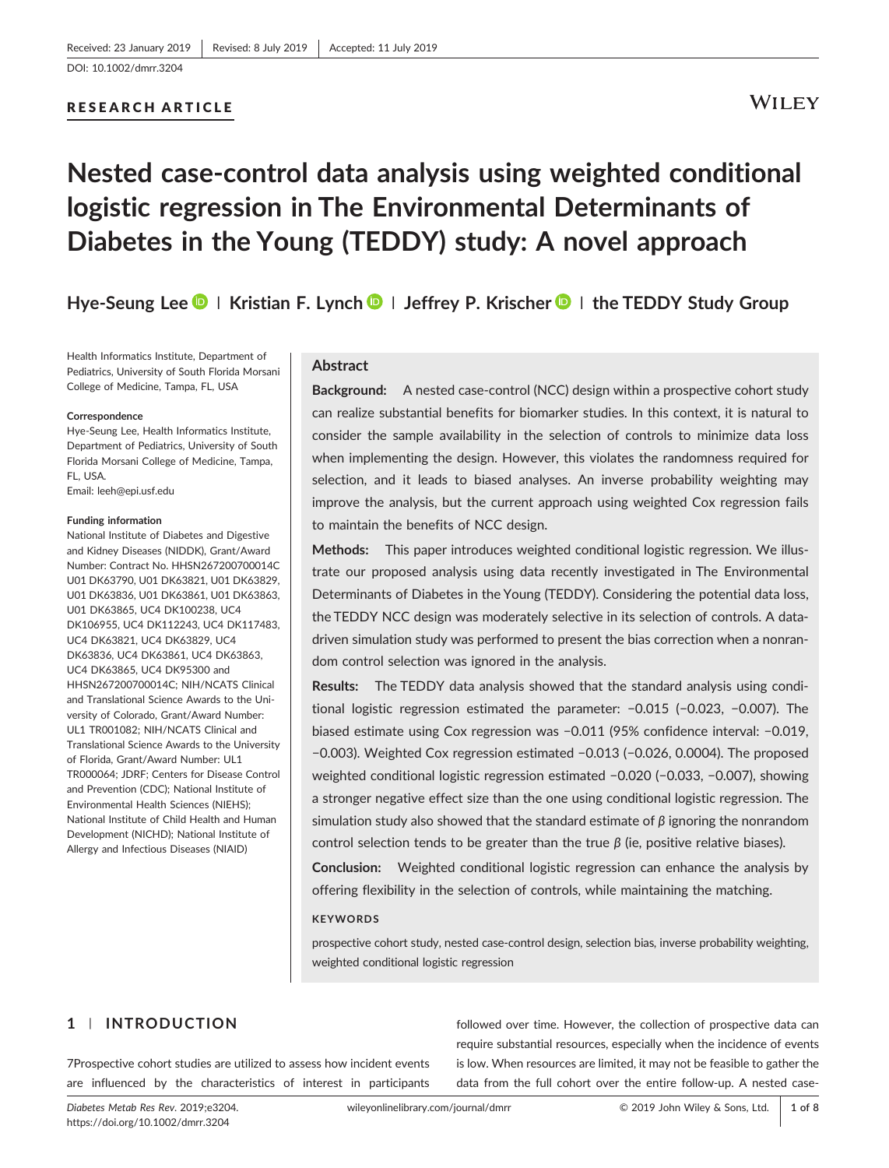RESEARCH ARTICLE

## **WILEY**

# **Nested case‐control data analysis using weighted conditional logistic regression in The Environmental Determinants of Diabetes in the Young (TEDDY) study: A novel approach**

**Hye‐Seung Lee | Kristian F. Lynch | Jeffrey P. Krischer | the TEDDY Study Group**

Health Informatics Institute, Department of Pediatrics, University of South Florida Morsani College of Medicine, Tampa, FL, USA

#### **Correspondence**

Hye‐Seung Lee, Health Informatics Institute, Department of Pediatrics, University of South Florida Morsani College of Medicine, Tampa, FL, USA. Email: leeh@epi.usf.edu

**Funding information**

National Institute of Diabetes and Digestive and Kidney Diseases (NIDDK), Grant/Award Number: Contract No. HHSN267200700014C U01 DK63790, U01 DK63821, U01 DK63829, U01 DK63836, U01 DK63861, U01 DK63863, U01 DK63865, UC4 DK100238, UC4 DK106955, UC4 DK112243, UC4 DK117483, UC4 DK63821, UC4 DK63829, UC4 DK63836, UC4 DK63861, UC4 DK63863, UC4 DK63865, UC4 DK95300 and HHSN267200700014C; NIH/NCATS Clinical and Translational Science Awards to the University of Colorado, Grant/Award Number: UL1 TR001082; NIH/NCATS Clinical and Translational Science Awards to the University of Florida, Grant/Award Number: UL1 TR000064; JDRF; Centers for Disease Control and Prevention (CDC); National Institute of Environmental Health Sciences (NIEHS); National Institute of Child Health and Human Development (NICHD); National Institute of Allergy and Infectious Diseases (NIAID)

#### **Abstract**

**Background:** A nested case‐control (NCC) design within a prospective cohort study can realize substantial benefits for biomarker studies. In this context, it is natural to consider the sample availability in the selection of controls to minimize data loss when implementing the design. However, this violates the randomness required for selection, and it leads to biased analyses. An inverse probability weighting may improve the analysis, but the current approach using weighted Cox regression fails to maintain the benefits of NCC design.

**Methods:** This paper introduces weighted conditional logistic regression. We illustrate our proposed analysis using data recently investigated in The Environmental Determinants of Diabetes in the Young (TEDDY). Considering the potential data loss, the TEDDY NCC design was moderately selective in its selection of controls. A data‐ driven simulation study was performed to present the bias correction when a nonrandom control selection was ignored in the analysis.

**Results:** The TEDDY data analysis showed that the standard analysis using conditional logistic regression estimated the parameter: −0.015 (−0.023, −0.007). The biased estimate using Cox regression was −0.011 (95% confidence interval: −0.019, −0.003). Weighted Cox regression estimated −0.013 (−0.026, 0.0004). The proposed weighted conditional logistic regression estimated −0.020 (−0.033, −0.007), showing a stronger negative effect size than the one using conditional logistic regression. The simulation study also showed that the standard estimate of *β* ignoring the nonrandom control selection tends to be greater than the true *β* (ie, positive relative biases).

**Conclusion:** Weighted conditional logistic regression can enhance the analysis by offering flexibility in the selection of controls, while maintaining the matching.

#### **KEYWORDS**

prospective cohort study, nested case‐control design, selection bias, inverse probability weighting, weighted conditional logistic regression

### **1** | **INTRODUCTION**

7Prospective cohort studies are utilized to assess how incident events are influenced by the characteristics of interest in participants

followed over time. However, the collection of prospective data can require substantial resources, especially when the incidence of events is low. When resources are limited, it may not be feasible to gather the data from the full cohort over the entire follow-up. A nested case-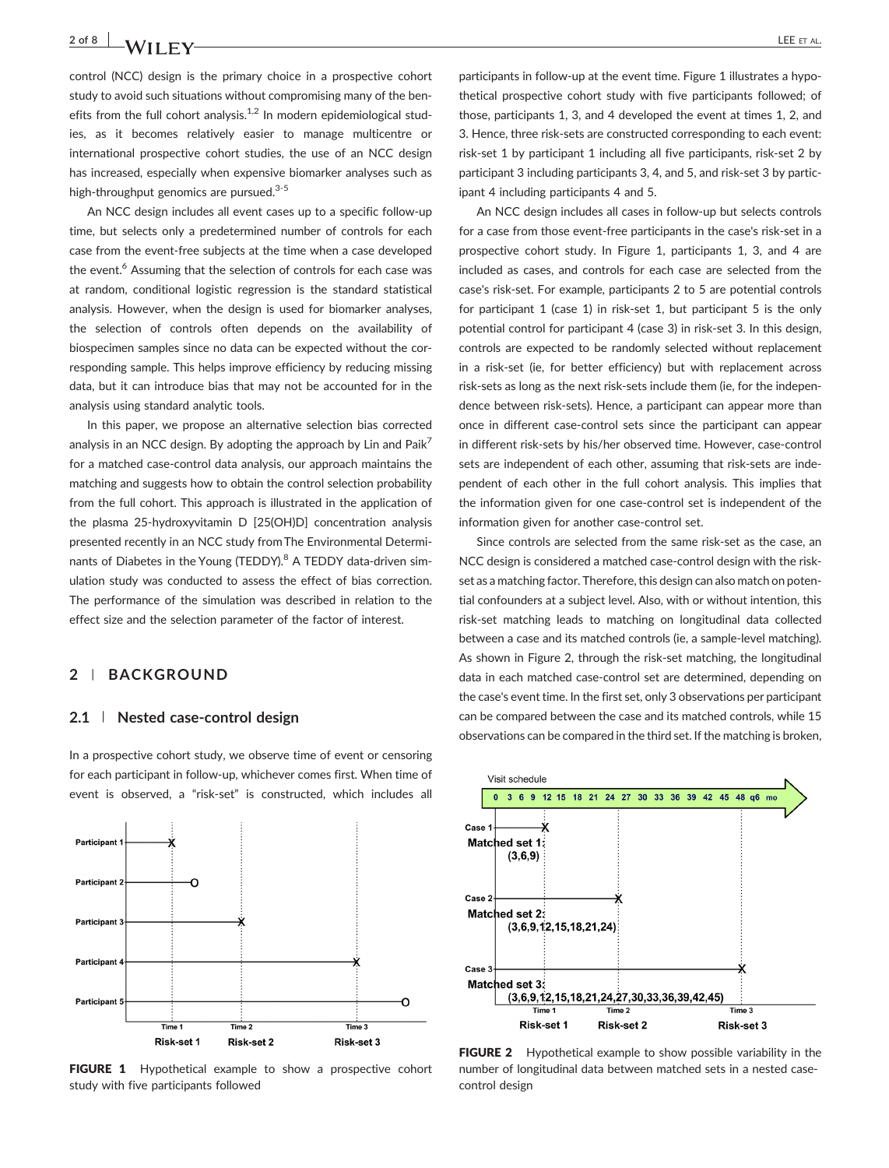### 2 of 8 **LEE** ET AL. **LEE** ET AL.

control (NCC) design is the primary choice in a prospective cohort study to avoid such situations without compromising many of the benefits from the full cohort analysis.<sup>1,2</sup> In modern epidemiological studies, as it becomes relatively easier to manage multicentre or international prospective cohort studies, the use of an NCC design has increased, especially when expensive biomarker analyses such as high-throughput genomics are pursued.<sup>3-5</sup>

An NCC design includes all event cases up to a specific follow‐up time, but selects only a predetermined number of controls for each case from the event‐free subjects at the time when a case developed the event.<sup>6</sup> Assuming that the selection of controls for each case was at random, conditional logistic regression is the standard statistical analysis. However, when the design is used for biomarker analyses, the selection of controls often depends on the availability of biospecimen samples since no data can be expected without the corresponding sample. This helps improve efficiency by reducing missing data, but it can introduce bias that may not be accounted for in the analysis using standard analytic tools.

In this paper, we propose an alternative selection bias corrected analysis in an NCC design. By adopting the approach by Lin and Paik<sup>7</sup> for a matched case‐control data analysis, our approach maintains the matching and suggests how to obtain the control selection probability from the full cohort. This approach is illustrated in the application of the plasma 25‐hydroxyvitamin D [25(OH)D] concentration analysis presented recently in an NCC study from The Environmental Determinants of Diabetes in the Young (TEDDY).<sup>8</sup> A TEDDY data-driven simulation study was conducted to assess the effect of bias correction. The performance of the simulation was described in relation to the effect size and the selection parameter of the factor of interest.

#### **2** | **BACKGROUND**

#### **2.1** | **Nested case‐control design**

In a prospective cohort study, we observe time of event or censoring for each participant in follow‐up, whichever comes first. When time of event is observed, a "risk‐set" is constructed, which includes all



FIGURE 1 Hypothetical example to show a prospective cohort study with five participants followed

participants in follow‐up at the event time. Figure 1 illustrates a hypothetical prospective cohort study with five participants followed; of those, participants 1, 3, and 4 developed the event at times 1, 2, and 3. Hence, three risk‐sets are constructed corresponding to each event: risk‐set 1 by participant 1 including all five participants, risk‐set 2 by participant 3 including participants 3, 4, and 5, and risk-set 3 by participant 4 including participants 4 and 5.

An NCC design includes all cases in follow‐up but selects controls for a case from those event‐free participants in the case's risk‐set in a prospective cohort study. In Figure 1, participants 1, 3, and 4 are included as cases, and controls for each case are selected from the case's risk‐set. For example, participants 2 to 5 are potential controls for participant 1 (case 1) in risk‐set 1, but participant 5 is the only potential control for participant 4 (case 3) in risk‐set 3. In this design, controls are expected to be randomly selected without replacement in a risk‐set (ie, for better efficiency) but with replacement across risk‐sets as long as the next risk‐sets include them (ie, for the independence between risk‐sets). Hence, a participant can appear more than once in different case‐control sets since the participant can appear in different risk‐sets by his/her observed time. However, case‐control sets are independent of each other, assuming that risk-sets are independent of each other in the full cohort analysis. This implies that the information given for one case‐control set is independent of the information given for another case‐control set.

Since controls are selected from the same risk‐set as the case, an NCC design is considered a matched case‐control design with the risk‐ set as a matching factor. Therefore, this design can also match on potential confounders at a subject level. Also, with or without intention, this risk‐set matching leads to matching on longitudinal data collected between a case and its matched controls (ie, a sample‐level matching). As shown in Figure 2, through the risk‐set matching, the longitudinal data in each matched case‐control set are determined, depending on the case's event time. In the first set, only 3 observations per participant can be compared between the case and its matched controls, while 15 observations can be compared in the third set. If the matching is broken,



FIGURE 2 Hypothetical example to show possible variability in the number of longitudinal data between matched sets in a nested case‐ control design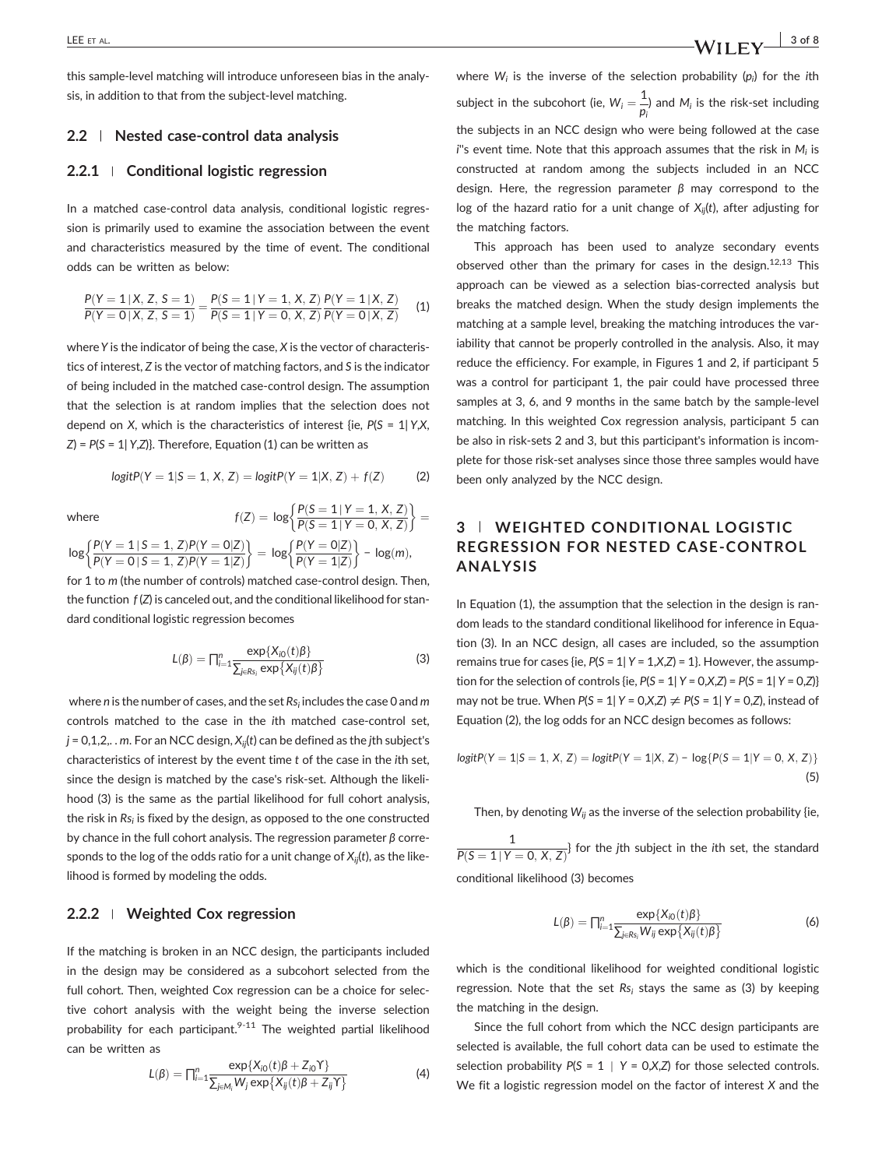#### **2.2** | **Nested case‐control data analysis**

#### **2.2.1** <sup>|</sup> **Conditional logistic regression**

In a matched case‐control data analysis, conditional logistic regression is primarily used to examine the association between the event and characteristics measured by the time of event. The conditional odds can be written as below:

$$
\frac{P(Y=1|X, Z, S=1)}{P(Y=0|X, Z, S=1)} = \frac{P(S=1|Y=1, X, Z)}{P(S=1|Y=0, X, Z)} \frac{P(Y=1|X, Z)}{P(Y=0|X, Z)}
$$
(1)

where*Y* is the indicator of being the case, *X* is the vector of characteristics of interest, *Z* is the vector of matching factors, and *S* is the indicator of being included in the matched case‐control design. The assumption that the selection is at random implies that the selection does not depend on *X*, which is the characteristics of interest {ie, *P*(*S* = 1| *Y*,*X*, *Z*) = *P*(*S* = 1| *Y*,*Z*)}. Therefore, Equation (1) can be written as

$$
logitP(Y = 1|S = 1, X, Z) = logitP(Y = 1|X, Z) + f(Z)
$$
 (2)

where  $f(Z) = \log \left\{ \frac{P(S=1|Y=1, X, Z)}{P(S=1|Y=0, X, Z)} \right\}$  $\int P(S = 1 | Y = 1, X, Z)$  $\log \left\{ \frac{P(Y=1|S=1,Z)}{P(Y=0|S=1,Z)} \right\}$  $P(Y = 0 | S = 1, Z)$  $\frac{P(Y=0|Z)}{P(Y=1|Z)}$  $P(Y = 1|Z)$  $\left\{ \frac{P(Y = 1 \mid S = 1, Z)P(Y = 0 | Z)}{P(Y = 0 \mid S = 1, Z)P(Y = 1 | Z)} \right\} = \log \left\{ \frac{P(Y = 0 | Z)}{P(Y = 1 | Z)} \right\} - \log(m),$ 

for 1 to *m* (the number of controls) matched case-control design. Then, the function *f* (*Z*) is canceled out, and the conditional likelihood for standard conditional logistic regression becomes

$$
L(\beta) = \prod_{i=1}^{n} \frac{\exp\{X_{i0}(t)\beta\}}{\sum_{j \in Rs_i} \exp\{X_{ij}(t)\beta\}}
$$
(3)

where *n* is the number of cases, and the set *Rsi* includes the case 0 and *m* controls matched to the case in the *i*th matched case-control set, *j* = 0,1,2,. . *m*. For an NCC design, *Xij*(*t*) can be defined as the *j*th subject's characteristics of interest by the event time *t* of the case in the *i*th set, since the design is matched by the case's risk‐set. Although the likelihood (3) is the same as the partial likelihood for full cohort analysis, the risk in *Rsi* is fixed by the design, as opposed to the one constructed by chance in the full cohort analysis. The regression parameter *β* corresponds to the log of the odds ratio for a unit change of *Xij*(*t*), as the likelihood is formed by modeling the odds.

#### **2.2.2** <sup>|</sup> **Weighted Cox regression**

If the matching is broken in an NCC design, the participants included in the design may be considered as a subcohort selected from the full cohort. Then, weighted Cox regression can be a choice for selective cohort analysis with the weight being the inverse selection probability for each participant.<sup>9-11</sup> The weighted partial likelihood can be written as

$$
L(\beta) = \prod_{i=1}^n \frac{\exp\{X_{i0}(t)\beta + Z_{i0}Y\}}{\sum_{j \in M_i} W_j \exp\{X_{ij}(t)\beta + Z_{ij}Y\}}
$$
(4)

LEE ET AL.  $\begin{array}{c|c|c|c|c} \text{LEE ET AL.} & \text{3 of 8} \end{array}$ 

where *Wi* is the inverse of the selection probability (*pi* ) for the *i*th subject in the subcohort (ie,  $W_i = \frac{1}{p_i}$ ) and  $M_i$  is the risk-set including the subjects in an NCC design who were being followed at the case *i*''s event time. Note that this approach assumes that the risk in *Mi* is constructed at random among the subjects included in an NCC design. Here, the regression parameter *β* may correspond to the log of the hazard ratio for a unit change of  $X_{ii}(t)$ , after adjusting for the matching factors.

This approach has been used to analyze secondary events observed other than the primary for cases in the design.<sup>12,13</sup> This approach can be viewed as a selection bias‐corrected analysis but breaks the matched design. When the study design implements the matching at a sample level, breaking the matching introduces the variability that cannot be properly controlled in the analysis. Also, it may reduce the efficiency. For example, in Figures 1 and 2, if participant 5 was a control for participant 1, the pair could have processed three samples at 3, 6, and 9 months in the same batch by the sample-level matching. In this weighted Cox regression analysis, participant 5 can be also in risk‐sets 2 and 3, but this participant's information is incomplete for those risk‐set analyses since those three samples would have been only analyzed by the NCC design.

### **3** | **WEIGHTED CONDITIONAL LOGISTIC REGRESSION FOR NESTED CASE‐CONTROL ANALYSIS**

In Equation (1), the assumption that the selection in the design is random leads to the standard conditional likelihood for inference in Equation (3). In an NCC design, all cases are included, so the assumption remains true for cases {ie, *P*(*S* = 1| *Y* = 1,*X*,*Z*) = 1}. However, the assumption for the selection of controls {ie,  $P(S = 1 | Y = 0, X, Z) = P(S = 1 | Y = 0, Z)$ } may not be true. When  $P(S = 1 | Y = 0, X, Z) \neq P(S = 1 | Y = 0, Z)$ , instead of Equation (2), the log odds for an NCC design becomes as follows:

$$
logitP(Y = 1|S = 1, X, Z) = logitP(Y = 1|X, Z) - log{P(S = 1|Y = 0, X, Z)}
$$
\n(5)

Then, by denoting  $W_{ij}$  as the inverse of the selection probability {ie,

 $\frac{1}{P(S=1|Y=0, X, Z)}$  for the *j*th subject in the *i*th set, the standard conditional likelihood (3) becomes

$$
L(\beta) = \prod_{i=1}^{n} \frac{\exp\{X_{i0}(t)\beta\}}{\sum_{j \in R_{S_i}} W_{ij} \exp\{X_{ij}(t)\beta\}}
$$
(6)

which is the conditional likelihood for weighted conditional logistic regression. Note that the set Rs<sub>i</sub> stays the same as (3) by keeping the matching in the design.

Since the full cohort from which the NCC design participants are selected is available, the full cohort data can be used to estimate the selection probability  $P(S = 1 | Y = 0, X, Z)$  for those selected controls. We fit a logistic regression model on the factor of interest *X* and the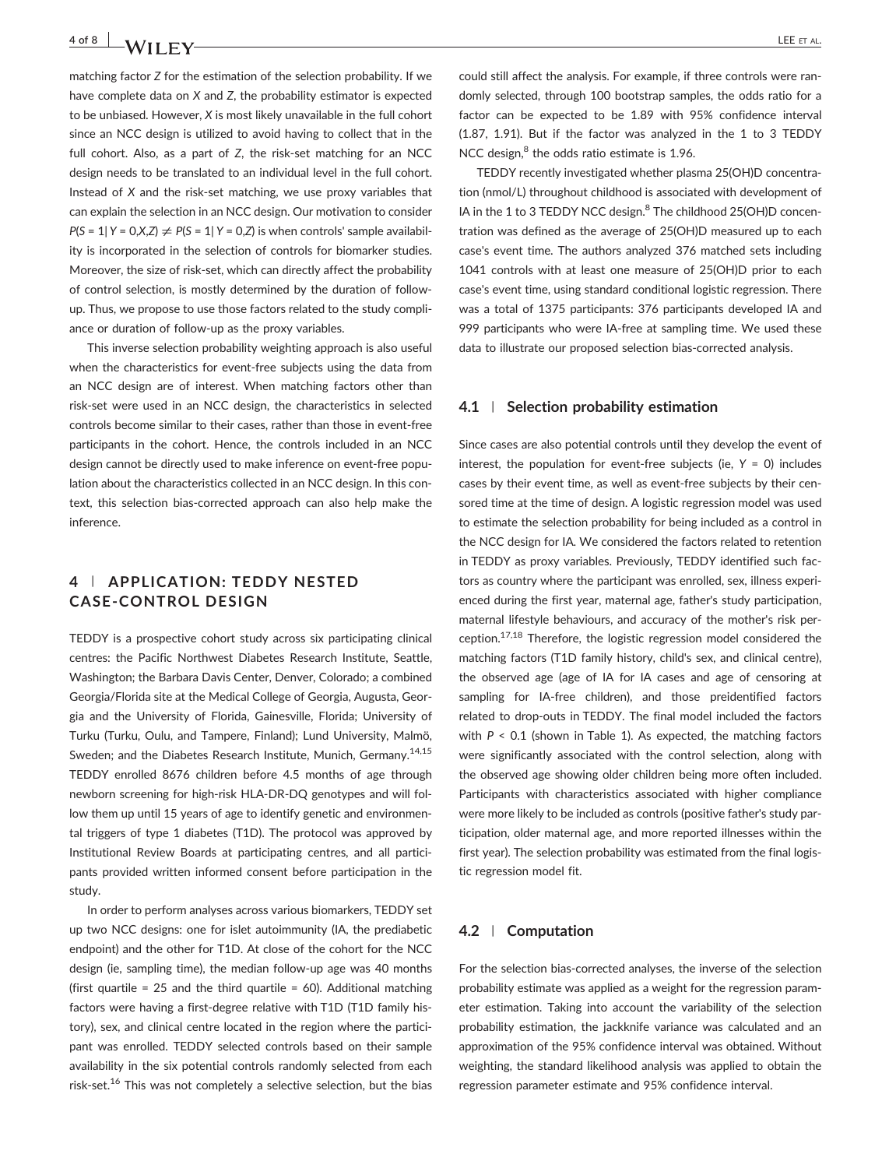matching factor *Z* for the estimation of the selection probability. If we have complete data on *X* and *Z*, the probability estimator is expected to be unbiased. However, *X* is most likely unavailable in the full cohort since an NCC design is utilized to avoid having to collect that in the full cohort. Also, as a part of *Z*, the risk-set matching for an NCC design needs to be translated to an individual level in the full cohort. Instead of *X* and the risk‐set matching, we use proxy variables that can explain the selection in an NCC design. Our motivation to consider  $P(S = 1 | Y = 0, X, Z) \neq P(S = 1 | Y = 0, Z)$  is when controls' sample availability is incorporated in the selection of controls for biomarker studies. Moreover, the size of risk‐set, which can directly affect the probability of control selection, is mostly determined by the duration of follow‐ up. Thus, we propose to use those factors related to the study compliance or duration of follow-up as the proxy variables.

This inverse selection probability weighting approach is also useful when the characteristics for event-free subjects using the data from an NCC design are of interest. When matching factors other than risk‐set were used in an NCC design, the characteristics in selected controls become similar to their cases, rather than those in event‐free participants in the cohort. Hence, the controls included in an NCC design cannot be directly used to make inference on event‐free population about the characteristics collected in an NCC design. In this context, this selection bias‐corrected approach can also help make the inference.

### **4** | **APPLICATION: TEDDY NESTED CASE‐CONTROL DESIGN**

TEDDY is a prospective cohort study across six participating clinical centres: the Pacific Northwest Diabetes Research Institute, Seattle, Washington; the Barbara Davis Center, Denver, Colorado; a combined Georgia/Florida site at the Medical College of Georgia, Augusta, Georgia and the University of Florida, Gainesville, Florida; University of Turku (Turku, Oulu, and Tampere, Finland); Lund University, Malmö, Sweden; and the Diabetes Research Institute, Munich, Germany.<sup>14,15</sup> TEDDY enrolled 8676 children before 4.5 months of age through newborn screening for high‐risk HLA‐DR‐DQ genotypes and will follow them up until 15 years of age to identify genetic and environmental triggers of type 1 diabetes (T1D). The protocol was approved by Institutional Review Boards at participating centres, and all participants provided written informed consent before participation in the study.

In order to perform analyses across various biomarkers, TEDDY set up two NCC designs: one for islet autoimmunity (IA, the prediabetic endpoint) and the other for T1D. At close of the cohort for the NCC design (ie, sampling time), the median follow‐up age was 40 months (first quartile = 25 and the third quartile = 60). Additional matching factors were having a first-degree relative with T1D (T1D family history), sex, and clinical centre located in the region where the participant was enrolled. TEDDY selected controls based on their sample availability in the six potential controls randomly selected from each risk-set.<sup>16</sup> This was not completely a selective selection, but the bias

could still affect the analysis. For example, if three controls were randomly selected, through 100 bootstrap samples, the odds ratio for a factor can be expected to be 1.89 with 95% confidence interval (1.87, 1.91). But if the factor was analyzed in the 1 to 3 TEDDY NCC design,<sup>8</sup> the odds ratio estimate is 1.96.

TEDDY recently investigated whether plasma 25(OH)D concentration (nmol/L) throughout childhood is associated with development of IA in the 1 to 3 TEDDY NCC design.<sup>8</sup> The childhood 25(OH)D concentration was defined as the average of 25(OH)D measured up to each case's event time. The authors analyzed 376 matched sets including 1041 controls with at least one measure of 25(OH)D prior to each case's event time, using standard conditional logistic regression. There was a total of 1375 participants: 376 participants developed IA and 999 participants who were IA-free at sampling time. We used these data to illustrate our proposed selection bias‐corrected analysis.

#### **4.1** | **Selection probability estimation**

Since cases are also potential controls until they develop the event of interest, the population for event‐free subjects (ie, *Y* = 0) includes cases by their event time, as well as event-free subjects by their censored time at the time of design. A logistic regression model was used to estimate the selection probability for being included as a control in the NCC design for IA. We considered the factors related to retention in TEDDY as proxy variables. Previously, TEDDY identified such factors as country where the participant was enrolled, sex, illness experienced during the first year, maternal age, father's study participation, maternal lifestyle behaviours, and accuracy of the mother's risk perception.17,18 Therefore, the logistic regression model considered the matching factors (T1D family history, child's sex, and clinical centre), the observed age (age of IA for IA cases and age of censoring at sampling for IA-free children), and those preidentified factors related to drop‐outs in TEDDY. The final model included the factors with *P* < 0.1 (shown in Table 1). As expected, the matching factors were significantly associated with the control selection, along with the observed age showing older children being more often included. Participants with characteristics associated with higher compliance were more likely to be included as controls (positive father's study participation, older maternal age, and more reported illnesses within the first year). The selection probability was estimated from the final logistic regression model fit.

#### **4.2** | **Computation**

For the selection bias‐corrected analyses, the inverse of the selection probability estimate was applied as a weight for the regression parameter estimation. Taking into account the variability of the selection probability estimation, the jackknife variance was calculated and an approximation of the 95% confidence interval was obtained. Without weighting, the standard likelihood analysis was applied to obtain the regression parameter estimate and 95% confidence interval.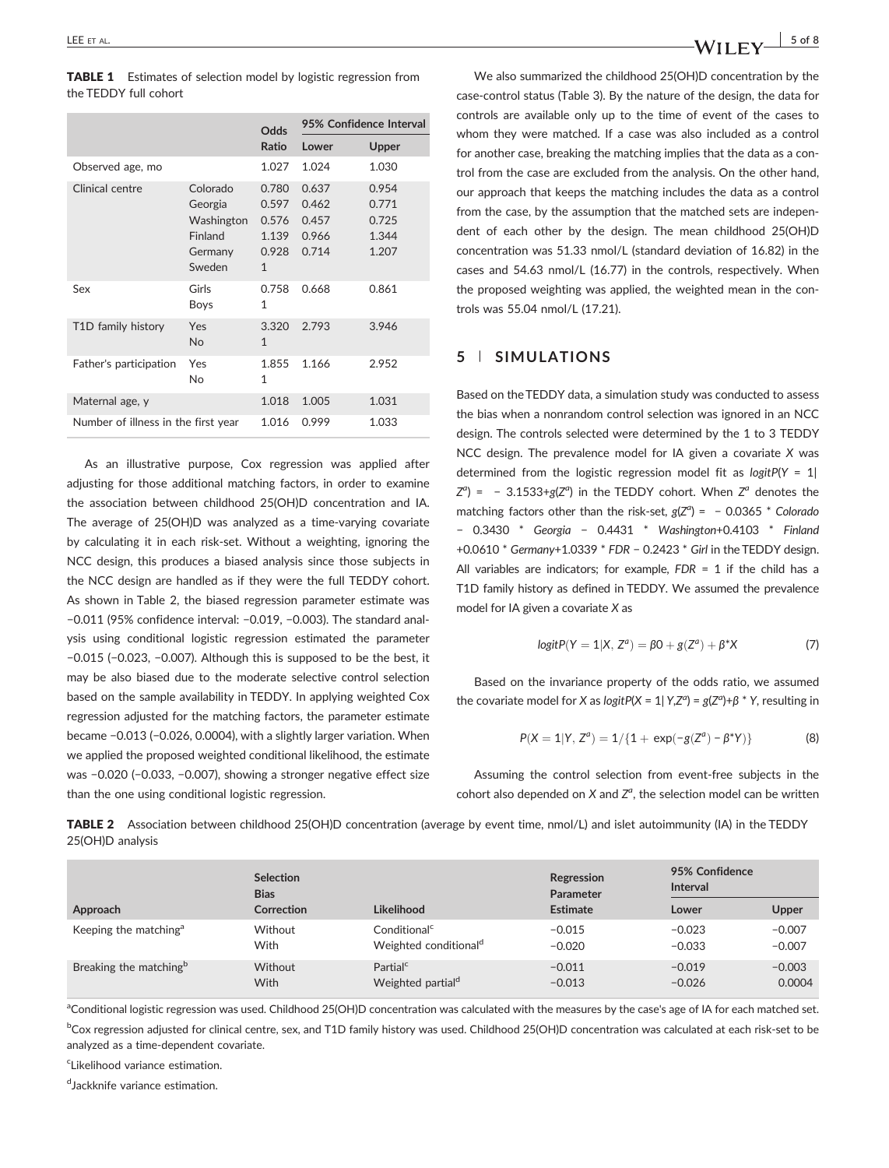|                                     | Odds                                                              |                                                           | 95% Confidence Interval                   |                                           |  |
|-------------------------------------|-------------------------------------------------------------------|-----------------------------------------------------------|-------------------------------------------|-------------------------------------------|--|
|                                     |                                                                   | Ratio                                                     | Lower                                     | Upper                                     |  |
| Observed age, mo                    |                                                                   | 1.027                                                     | 1.024                                     | 1.030                                     |  |
| Clinical centre                     | Colorado<br>Georgia<br>Washington<br>Finland<br>Germany<br>Sweden | 0.780<br>0.597<br>0.576<br>1.139<br>0.928<br>$\mathbf{1}$ | 0.637<br>0.462<br>0.457<br>0.966<br>0.714 | 0.954<br>0.771<br>0.725<br>1.344<br>1.207 |  |
| Sex                                 | Girls<br>Boys                                                     | 0.758<br>$\mathbf{1}$                                     | 0.668                                     | 0.861                                     |  |
| T1D family history                  | Yes<br><b>No</b>                                                  | 3.320<br>$\mathbf{1}$                                     | 2.793                                     | 3.946                                     |  |
| Father's participation              | Yes<br>No                                                         | 1.855<br>$\mathbf{1}$                                     | 1.166                                     | 2.952                                     |  |
| Maternal age, y                     | 1.018                                                             | 1.005                                                     | 1.031                                     |                                           |  |
| Number of illness in the first year |                                                                   | 1.016                                                     | 0.999                                     | 1.033                                     |  |

As an illustrative purpose, Cox regression was applied after adjusting for those additional matching factors, in order to examine the association between childhood 25(OH)D concentration and IA. The average of 25(OH)D was analyzed as a time‐varying covariate by calculating it in each risk‐set. Without a weighting, ignoring the NCC design, this produces a biased analysis since those subjects in the NCC design are handled as if they were the full TEDDY cohort. As shown in Table 2, the biased regression parameter estimate was −0.011 (95% confidence interval: −0.019, −0.003). The standard analysis using conditional logistic regression estimated the parameter −0.015 (−0.023, −0.007). Although this is supposed to be the best, it may be also biased due to the moderate selective control selection based on the sample availability in TEDDY. In applying weighted Cox regression adjusted for the matching factors, the parameter estimate became −0.013 (−0.026, 0.0004), with a slightly larger variation. When we applied the proposed weighted conditional likelihood, the estimate was −0.020 (−0.033, −0.007), showing a stronger negative effect size than the one using conditional logistic regression.

We also summarized the childhood 25(OH)D concentration by the case‐control status (Table 3). By the nature of the design, the data for controls are available only up to the time of event of the cases to whom they were matched. If a case was also included as a control for another case, breaking the matching implies that the data as a control from the case are excluded from the analysis. On the other hand, our approach that keeps the matching includes the data as a control from the case, by the assumption that the matched sets are independent of each other by the design. The mean childhood 25(OH)D concentration was 51.33 nmol/L (standard deviation of 16.82) in the cases and 54.63 nmol/L (16.77) in the controls, respectively. When the proposed weighting was applied, the weighted mean in the controls was 55.04 nmol/L (17.21).

#### **5** | **SIMULATIONS**

Based on the TEDDY data, a simulation study was conducted to assess the bias when a nonrandom control selection was ignored in an NCC design. The controls selected were determined by the 1 to 3 TEDDY NCC design. The prevalence model for IA given a covariate *X* was determined from the logistic regression model fit as *logitP*(*Y* = 1|  $Z^{a}$ ) = - 3.1533+ $g(Z^{a})$  in the TEDDY cohort. When  $Z^{a}$  denotes the matching factors other than the risk‐set, *g*(*Za* ) = − 0.0365 \* *Colorado* − 0.3430 \* *Georgia* − 0.4431 \* *Washington*+0.4103 \* *Finland* +0.0610 \* *Germany*+1.0339 \* *FDR* − 0.2423 \* *Girl* in the TEDDY design. All variables are indicators; for example, *FDR* = 1 if the child has a T1D family history as defined in TEDDY. We assumed the prevalence model for IA given a covariate *X* as

$$
logitP(Y = 1|X, Z^a) = \beta 0 + g(Z^a) + \beta^* X \tag{7}
$$

Based on the invariance property of the odds ratio, we assumed the covariate model for *X* as *logitP*(*X* = 1| *Y*,*Z<sup>a</sup>* ) = *g*(*Z<sup>a</sup>* )+*β* \* *Y*, resulting in

$$
P(X = 1|Y, Z^a) = 1/\{1 + \exp(-g(Z^a) - \beta^*Y)\}\
$$
 (8)

Assuming the control selection from event‐free subjects in the cohort also depended on  $X$  and  $Z^a$ , the selection model can be written

TABLE 2 Association between childhood 25(OH)D concentration (average by event time, nmol/L) and islet autoimmunity (IA) in the TEDDY 25(OH)D analysis

|                                    | <b>Selection</b> |                                   | Regression | 95% Confidence  |          |
|------------------------------------|------------------|-----------------------------------|------------|-----------------|----------|
|                                    | <b>Bias</b>      |                                   | Parameter  | <b>Interval</b> |          |
| Approach                           | Correction       | Likelihood                        | Estimate   | Lower           | Upper    |
| Keeping the matching <sup>a</sup>  | Without          | $\mathsf{Conditional}^\mathsf{c}$ | $-0.015$   | $-0.023$        | $-0.007$ |
|                                    | With             | Weighted conditional <sup>d</sup> | $-0.020$   | $-0.033$        | $-0.007$ |
| Breaking the matching <sup>b</sup> | Without          | Partial <sup>c</sup>              | $-0.011$   | $-0.019$        | $-0.003$ |
|                                    | <b>With</b>      | Weighted partial <sup>d</sup>     | $-0.013$   | $-0.026$        | 0.0004   |

<sup>a</sup>Conditional logistic regression was used. Childhood 25(OH)D concentration was calculated with the measures by the case's age of IA for each matched set.

<sup>b</sup>Cox regression adjusted for clinical centre, sex, and T1D family history was used. Childhood 25(OH)D concentration was calculated at each risk-set to be analyzed as a time‐dependent covariate.

<sup>c</sup>Likelihood variance estimation.

dJackknife variance estimation.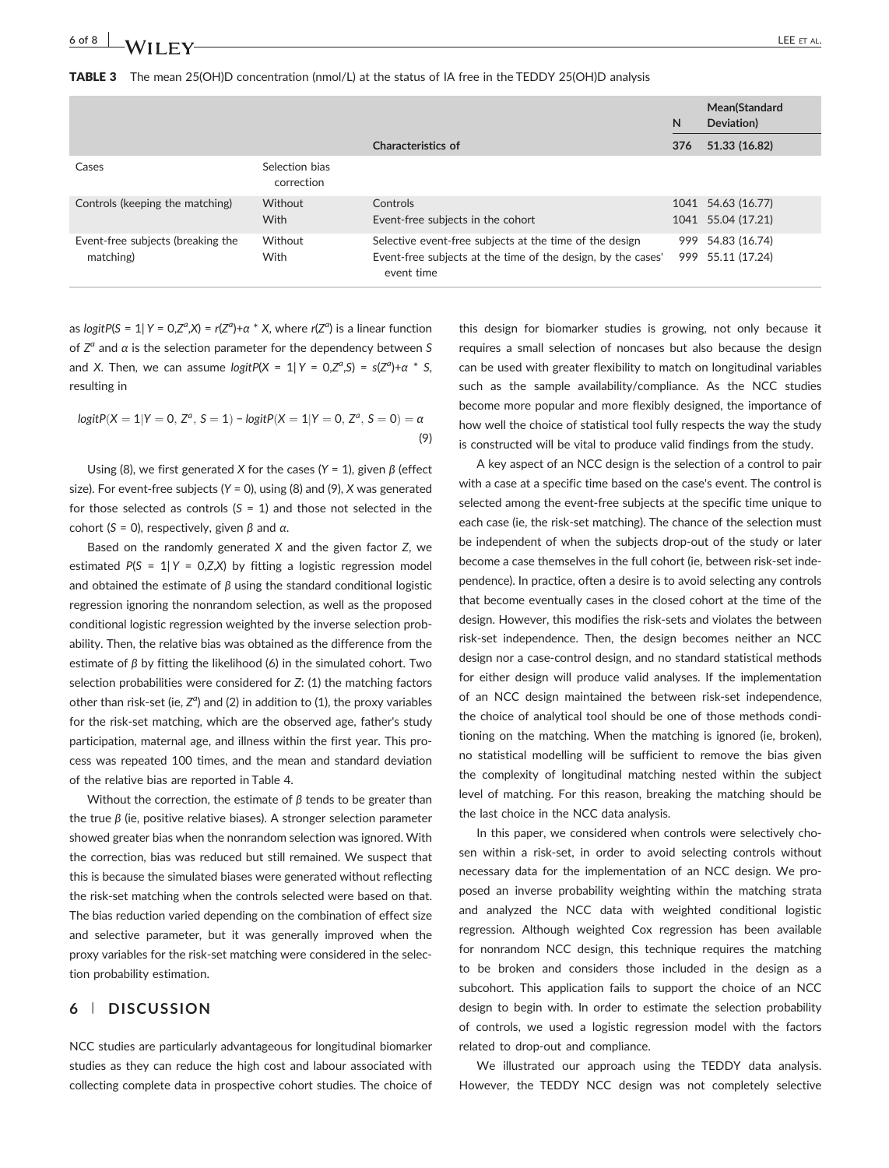#### TABLE 3 The mean 25(OH)D concentration (nmol/L) at the status of IA free in the TEDDY 25(OH)D analysis

|                                                |                              |                                                                                                                                       |     | Mean(Standard<br>Deviation)              |
|------------------------------------------------|------------------------------|---------------------------------------------------------------------------------------------------------------------------------------|-----|------------------------------------------|
|                                                |                              | Characteristics of                                                                                                                    | 376 | 51.33 (16.82)                            |
| Cases                                          | Selection bias<br>correction |                                                                                                                                       |     |                                          |
| Controls (keeping the matching)                | Without<br><b>With</b>       | Controls<br>Event-free subjects in the cohort                                                                                         |     | 1041 54.63 (16.77)<br>1041 55.04 (17.21) |
| Event-free subjects (breaking the<br>matching) | Without<br>With              | Selective event-free subjects at the time of the design<br>Event-free subjects at the time of the design, by the cases'<br>event time |     | 999 54.83 (16.74)<br>999 55.11 (17.24)   |

as *logitP*(*S* = 1| *Y* = 0,*Za* ,*X*) = *r*(*Z<sup>a</sup>* )+*α* \* *X*, where *r*(*Z<sup>a</sup>* ) is a linear function of *Za* and *α* is the selection parameter for the dependency between *S* and *X*. Then, we can assume  $logitP(X = 1 | Y = 0, Z^a, S) = s(Z^a) + \alpha * S$ , resulting in

$$
logitP(X = 1|Y = 0, Z^a, S = 1) - logitP(X = 1|Y = 0, Z^a, S = 0) = \alpha
$$
\n(9)

Using (8), we first generated *X* for the cases (*Y* = 1), given *β* (effect size). For event‐free subjects (*Y* = 0), using (8) and (9), *X* was generated for those selected as controls (*S* = 1) and those not selected in the cohort (*S* = 0), respectively, given *β* and *α*.

Based on the randomly generated *X* and the given factor *Z*, we estimated *P*(*S* = 1| *Y* = 0,*Z*,*X*) by fitting a logistic regression model and obtained the estimate of *β* using the standard conditional logistic regression ignoring the nonrandom selection, as well as the proposed conditional logistic regression weighted by the inverse selection probability. Then, the relative bias was obtained as the difference from the estimate of *β* by fitting the likelihood (6) in the simulated cohort. Two selection probabilities were considered for *Z*: (1) the matching factors other than risk-set (ie, Z<sup>a</sup>) and (2) in addition to (1), the proxy variables for the risk‐set matching, which are the observed age, father's study participation, maternal age, and illness within the first year. This process was repeated 100 times, and the mean and standard deviation of the relative bias are reported in Table 4.

Without the correction, the estimate of *β* tends to be greater than the true *β* (ie, positive relative biases). A stronger selection parameter showed greater bias when the nonrandom selection was ignored. With the correction, bias was reduced but still remained. We suspect that this is because the simulated biases were generated without reflecting the risk‐set matching when the controls selected were based on that. The bias reduction varied depending on the combination of effect size and selective parameter, but it was generally improved when the proxy variables for the risk‐set matching were considered in the selection probability estimation.

#### **6** | **DISCUSSION**

NCC studies are particularly advantageous for longitudinal biomarker studies as they can reduce the high cost and labour associated with collecting complete data in prospective cohort studies. The choice of

this design for biomarker studies is growing, not only because it requires a small selection of noncases but also because the design can be used with greater flexibility to match on longitudinal variables such as the sample availability/compliance. As the NCC studies become more popular and more flexibly designed, the importance of how well the choice of statistical tool fully respects the way the study is constructed will be vital to produce valid findings from the study.

A key aspect of an NCC design is the selection of a control to pair with a case at a specific time based on the case's event. The control is selected among the event‐free subjects at the specific time unique to each case (ie, the risk-set matching). The chance of the selection must be independent of when the subjects drop‐out of the study or later become a case themselves in the full cohort (ie, between risk-set independence). In practice, often a desire is to avoid selecting any controls that become eventually cases in the closed cohort at the time of the design. However, this modifies the risk‐sets and violates the between risk‐set independence. Then, the design becomes neither an NCC design nor a case‐control design, and no standard statistical methods for either design will produce valid analyses. If the implementation of an NCC design maintained the between risk‐set independence, the choice of analytical tool should be one of those methods conditioning on the matching. When the matching is ignored (ie, broken), no statistical modelling will be sufficient to remove the bias given the complexity of longitudinal matching nested within the subject level of matching. For this reason, breaking the matching should be the last choice in the NCC data analysis.

In this paper, we considered when controls were selectively chosen within a risk-set, in order to avoid selecting controls without necessary data for the implementation of an NCC design. We proposed an inverse probability weighting within the matching strata and analyzed the NCC data with weighted conditional logistic regression. Although weighted Cox regression has been available for nonrandom NCC design, this technique requires the matching to be broken and considers those included in the design as a subcohort. This application fails to support the choice of an NCC design to begin with. In order to estimate the selection probability of controls, we used a logistic regression model with the factors related to drop‐out and compliance.

We illustrated our approach using the TEDDY data analysis. However, the TEDDY NCC design was not completely selective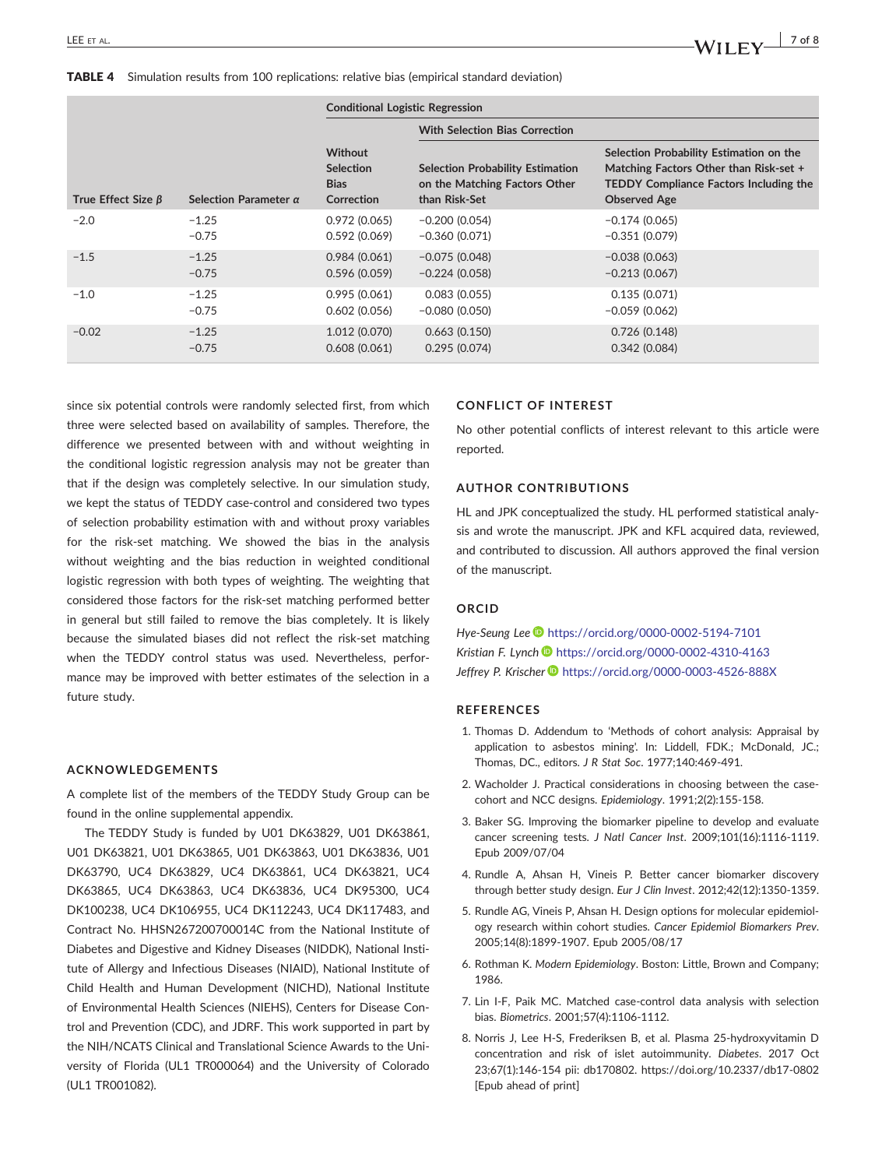|                          |                              | <b>Conditional Logistic Regression</b>                          |                                                                                           |                                                                                                                                                           |  |
|--------------------------|------------------------------|-----------------------------------------------------------------|-------------------------------------------------------------------------------------------|-----------------------------------------------------------------------------------------------------------------------------------------------------------|--|
|                          |                              |                                                                 | <b>With Selection Bias Correction</b>                                                     |                                                                                                                                                           |  |
| True Effect Size $\beta$ | Selection Parameter $\alpha$ | <b>Without</b><br><b>Selection</b><br><b>Bias</b><br>Correction | <b>Selection Probability Estimation</b><br>on the Matching Factors Other<br>than Risk-Set | Selection Probability Estimation on the<br>Matching Factors Other than Risk-set +<br><b>TEDDY Compliance Factors Including the</b><br><b>Observed Age</b> |  |
| $-2.0$                   | $-1.25$                      | 0.972(0.065)                                                    | $-0.200(0.054)$                                                                           | $-0.174(0.065)$                                                                                                                                           |  |
|                          | $-0.75$                      | 0.592(0.069)                                                    | $-0.360(0.071)$                                                                           | $-0.351(0.079)$                                                                                                                                           |  |
| $-1.5$                   | $-1.25$                      | 0.984(0.061)                                                    | $-0.075(0.048)$                                                                           | $-0.038(0.063)$                                                                                                                                           |  |
|                          | $-0.75$                      | 0.596(0.059)                                                    | $-0.224(0.058)$                                                                           | $-0.213(0.067)$                                                                                                                                           |  |
| $-1.0$                   | $-1.25$                      | 0.995(0.061)                                                    | 0.083(0.055)                                                                              | 0.135(0.071)                                                                                                                                              |  |
|                          | $-0.75$                      | 0.602(0.056)                                                    | $-0.080(0.050)$                                                                           | $-0.059(0.062)$                                                                                                                                           |  |
| $-0.02$                  | $-1.25$                      | 1.012 (0.070)                                                   | 0.663(0.150)                                                                              | 0.726(0.148)                                                                                                                                              |  |
|                          | $-0.75$                      | 0.608(0.061)                                                    | 0.295(0.074)                                                                              | 0.342(0.084)                                                                                                                                              |  |

since six potential controls were randomly selected first, from which three were selected based on availability of samples. Therefore, the difference we presented between with and without weighting in the conditional logistic regression analysis may not be greater than that if the design was completely selective. In our simulation study, we kept the status of TEDDY case-control and considered two types of selection probability estimation with and without proxy variables for the risk‐set matching. We showed the bias in the analysis without weighting and the bias reduction in weighted conditional logistic regression with both types of weighting. The weighting that considered those factors for the risk‐set matching performed better in general but still failed to remove the bias completely. It is likely because the simulated biases did not reflect the risk‐set matching when the TEDDY control status was used. Nevertheless, performance may be improved with better estimates of the selection in a future study.

#### **ACKNOWLEDGEMENTS**

A complete list of the members of the TEDDY Study Group can be found in the online supplemental appendix.

The TEDDY Study is funded by U01 DK63829, U01 DK63861, U01 DK63821, U01 DK63865, U01 DK63863, U01 DK63836, U01 DK63790, UC4 DK63829, UC4 DK63861, UC4 DK63821, UC4 DK63865, UC4 DK63863, UC4 DK63836, UC4 DK95300, UC4 DK100238, UC4 DK106955, UC4 DK112243, UC4 DK117483, and Contract No. HHSN267200700014C from the National Institute of Diabetes and Digestive and Kidney Diseases (NIDDK), National Institute of Allergy and Infectious Diseases (NIAID), National Institute of Child Health and Human Development (NICHD), National Institute of Environmental Health Sciences (NIEHS), Centers for Disease Control and Prevention (CDC), and JDRF. This work supported in part by the NIH/NCATS Clinical and Translational Science Awards to the University of Florida (UL1 TR000064) and the University of Colorado (UL1 TR001082).

#### **CONFLICT OF INTEREST**

No other potential conflicts of interest relevant to this article were reported.

#### **AUTHOR CONTRIBUTIONS**

HL and JPK conceptualized the study. HL performed statistical analysis and wrote the manuscript. JPK and KFL acquired data, reviewed, and contributed to discussion. All authors approved the final version of the manuscript.

#### **ORCID**

*Hye‐Seung Lee* <https://orcid.org/0000-0002-5194-7101> *Kristian F. Lynch* <https://orcid.org/0000-0002-4310-4163> *Jeffrey P. Krischer* <https://orcid.org/0000-0003-4526-888X>

#### **REFERENCES**

- 1. Thomas D. Addendum to 'Methods of cohort analysis: Appraisal by application to asbestos mining'. In: Liddell, FDK.; McDonald, JC.; Thomas, DC., editors. *J R Stat Soc*. 1977;140:469‐491.
- 2. Wacholder J. Practical considerations in choosing between the case‐ cohort and NCC designs. *Epidemiology*. 1991;2(2):155‐158.
- 3. Baker SG. Improving the biomarker pipeline to develop and evaluate cancer screening tests. *J Natl Cancer Inst*. 2009;101(16):1116‐1119. Epub 2009/07/04
- 4. Rundle A, Ahsan H, Vineis P. Better cancer biomarker discovery through better study design. *Eur J Clin Invest*. 2012;42(12):1350‐1359.
- 5. Rundle AG, Vineis P, Ahsan H. Design options for molecular epidemiology research within cohort studies. *Cancer Epidemiol Biomarkers Prev*. 2005;14(8):1899‐1907. Epub 2005/08/17
- 6. Rothman K. *Modern Epidemiology*. Boston: Little, Brown and Company; 1986.
- 7. Lin I‐F, Paik MC. Matched case‐control data analysis with selection bias. *Biometrics*. 2001;57(4):1106‐1112.
- 8. Norris J, Lee H‐S, Frederiksen B, et al. Plasma 25‐hydroxyvitamin D concentration and risk of islet autoimmunity. *Diabetes*. 2017 Oct 23;67(1):146‐154 pii: db170802. [https://doi.org/10.2337/db17](https://doi.org/10.2337/db17-0802)‐0802 [Epub ahead of print]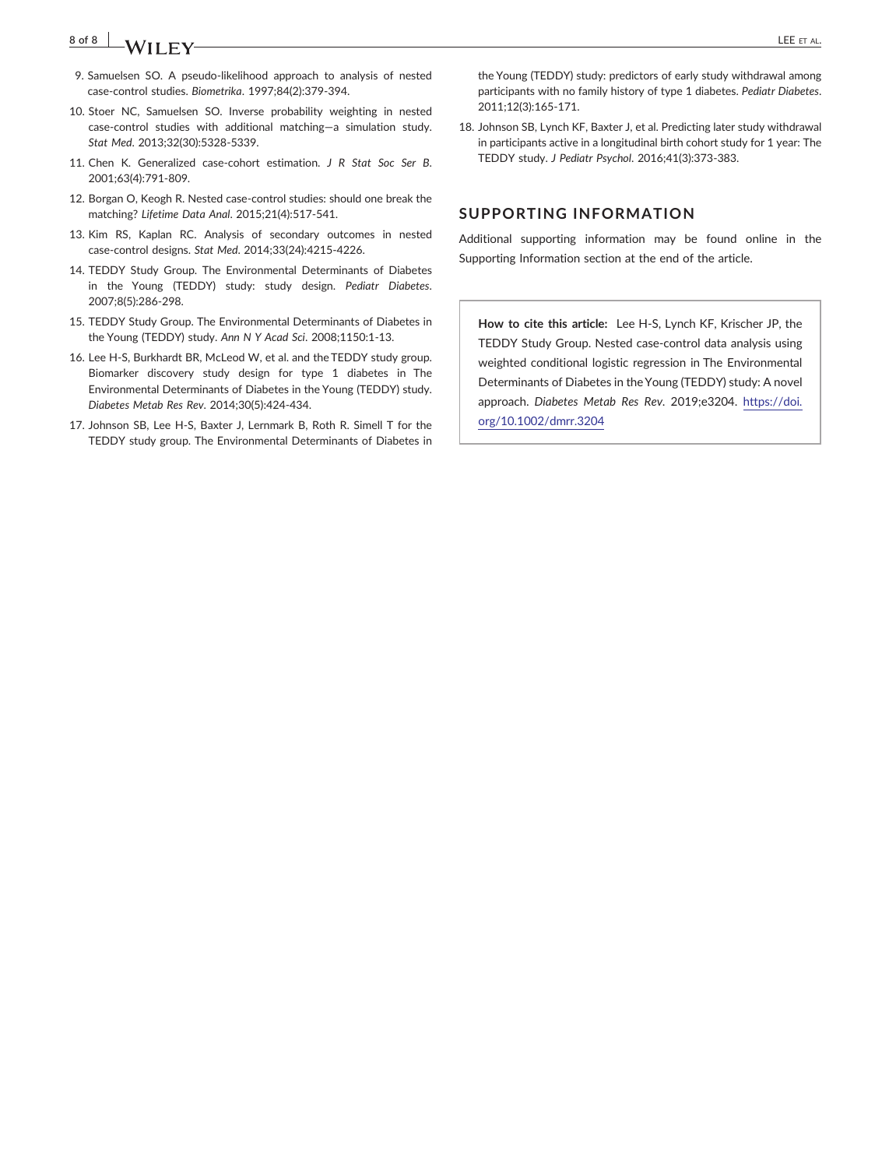## **8 of 8** LEE ET AL.

- 9. Samuelsen SO. A pseudo-likelihood approach to analysis of nested case‐control studies. *Biometrika*. 1997;84(2):379‐394.
- 10. Stoer NC, Samuelsen SO. Inverse probability weighting in nested case‐control studies with additional matching—a simulation study. *Stat Med*. 2013;32(30):5328‐5339.
- 11. Chen K. Generalized case‐cohort estimation. *J R Stat Soc Ser B*. 2001;63(4):791‐809.
- 12. Borgan O, Keogh R. Nested case‐control studies: should one break the matching? *Lifetime Data Anal*. 2015;21(4):517‐541.
- 13. Kim RS, Kaplan RC. Analysis of secondary outcomes in nested case‐control designs. *Stat Med*. 2014;33(24):4215‐4226.
- 14. TEDDY Study Group. The Environmental Determinants of Diabetes in the Young (TEDDY) study: study design. *Pediatr Diabetes*. 2007;8(5):286‐298.
- 15. TEDDY Study Group. The Environmental Determinants of Diabetes in the Young (TEDDY) study. *Ann N Y Acad Sci*. 2008;1150:1‐13.
- 16. Lee H‐S, Burkhardt BR, McLeod W, et al. and the TEDDY study group. Biomarker discovery study design for type 1 diabetes in The Environmental Determinants of Diabetes in the Young (TEDDY) study. *Diabetes Metab Res Rev*. 2014;30(5):424‐434.
- 17. Johnson SB, Lee H‐S, Baxter J, Lernmark B, Roth R. Simell T for the TEDDY study group. The Environmental Determinants of Diabetes in

the Young (TEDDY) study: predictors of early study withdrawal among participants with no family history of type 1 diabetes. *Pediatr Diabetes*. 2011;12(3):165‐171.

18. Johnson SB, Lynch KF, Baxter J, et al. Predicting later study withdrawal in participants active in a longitudinal birth cohort study for 1 year: The TEDDY study. *J Pediatr Psychol*. 2016;41(3):373‐383.

#### **SUPPORTING INFORMATION**

Additional supporting information may be found online in the Supporting Information section at the end of the article.

**How to cite this article:** Lee H‐S, Lynch KF, Krischer JP, the TEDDY Study Group. Nested case‐control data analysis using weighted conditional logistic regression in The Environmental Determinants of Diabetes in the Young (TEDDY) study: A novel approach. *Diabetes Metab Res Rev*. 2019;e3204. [https://doi.](https://doi.org/10.1002/dmrr.3204) [org/10.1002/dmrr.3204](https://doi.org/10.1002/dmrr.3204)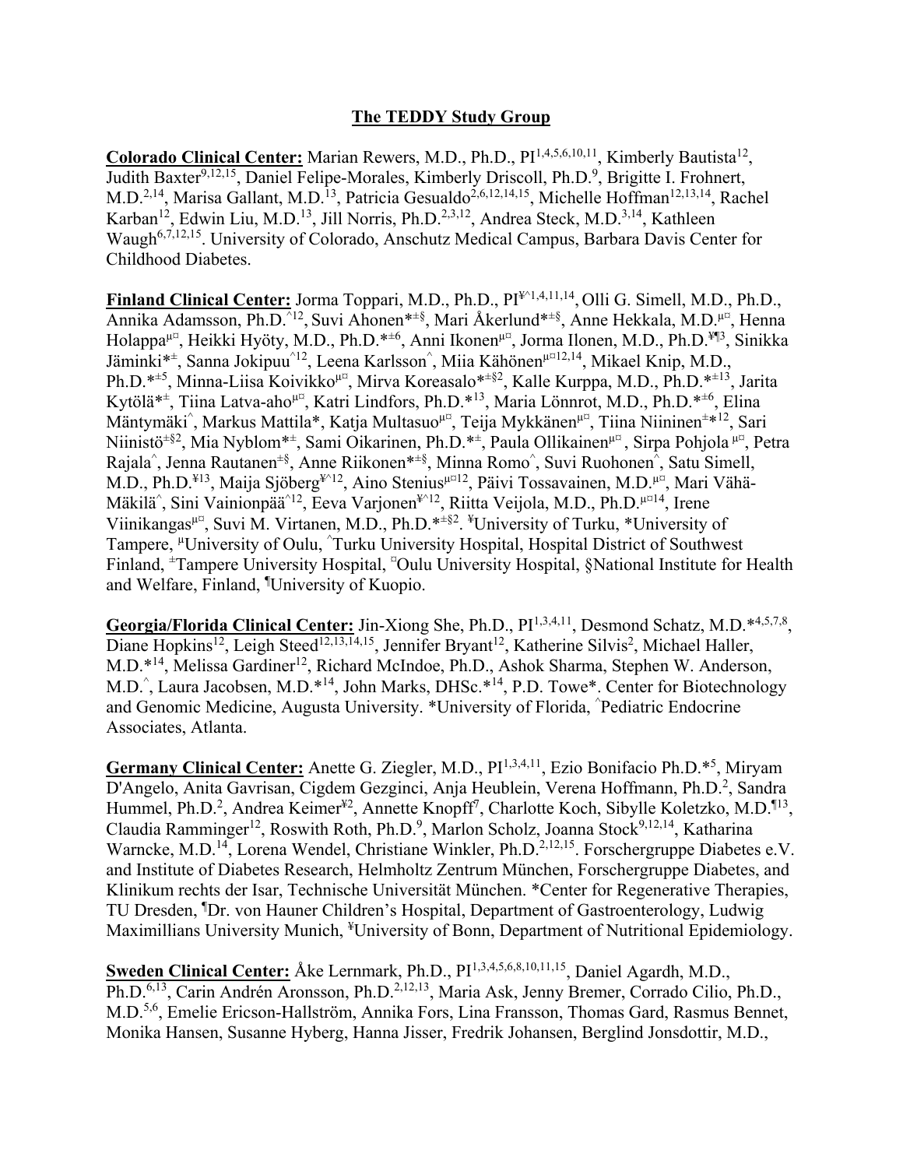### **The TEDDY Study Group**

Colorado Clinical Center: Marian Rewers, M.D., Ph.D., PI<sup>1,4,5,6,10,11</sup>, Kimberly Bautista<sup>12</sup>, Judith Baxter<sup>9,12,15</sup>, Daniel Felipe-Morales, Kimberly Driscoll, Ph.D.<sup>9</sup>, Brigitte I. Frohnert, M.D.<sup>2,14</sup>, Marisa Gallant, M.D.<sup>13</sup>, Patricia Gesualdo<sup>2,6,12,14,15</sup>, Michelle Hoffman<sup>12,13,14</sup>, Rachel Karban<sup>12</sup>, Edwin Liu, M.D.<sup>13</sup>, Jill Norris, Ph.D.<sup>2,3,12</sup>, Andrea Steck, M.D.<sup>3,14</sup>, Kathleen Waugh<sup>6,7,12,15</sup>. University of Colorado, Anschutz Medical Campus, Barbara Davis Center for Childhood Diabetes.

Finland Clinical Center: Jorma Toppari, M.D., Ph.D., PI<sup>\{2\ti}{1,4,11,14}</sup>, Olli G. Simell, M.D., Ph.D., Annika Adamsson, Ph.D.<sup>^12</sup>, Suvi Ahonen<sup>\*±§</sup>, Mari Åkerlund<sup>\*±§</sup>, Anne Hekkala, M.D.<sup>µ¤</sup>, Henna Holappa<sup>µ¤</sup>, Heikki Hyöty, M.D., Ph.D.<sup>\*±6</sup>, Anni Ikonen<sup>µ¤</sup>, Jorma Ilonen, M.D., Ph.D.<sup>¥¶3</sup>, Sinikka Jäminki\*<sup>±</sup>, Sanna Jokipuu<sup>^12</sup>, Leena Karlsson<sup>^</sup>, Miia Kähönen<sup>µ¤12,14</sup>, Mikael Knip, M.D., Ph.D.<sup>\*±5</sup>, Minna-Liisa Koivikko<sup>µ¤</sup>, Mirva Koreasalo<sup>\*±§2</sup>, Kalle Kurppa, M.D., Ph.D.<sup>\*±13</sup>, Jarita Kytölä\*<sup>±</sup>, Tiina Latva-aho<sup>µ¤</sup>, Katri Lindfors, Ph.D.\*<sup>13</sup>, Maria Lönnrot, M.D., Ph.D.\*<sup>±6</sup>, Elina Mäntymäki^, Markus Mattila\*, Katja Multasuo<sup>µ¤</sup>, Teija Mykkänen<sup>µ¤</sup>, Tiina Niininen<sup>±∗12</sup>, Sari Niinistö<sup>±§2</sup>, Mia Nyblom<sup>\*±</sup>, Sami Oikarinen, Ph.D.\*<sup>±</sup>, Paula Ollikainen<sup>µ¤</sup>, Sirpa Pohjola <sup>µ¤</sup>, Petra Rajala<sup>^</sup>, Jenna Rautanen<sup>±§</sup>, Anne Riikonen<sup>\*±§</sup>, Minna Romo^, Suvi Ruohonen^, Satu Simell, M.D., Ph.D.<sup>¥13</sup>, Maija Sjöberg<sup>¥^12</sup>, Aino Stenius<sup>µ¤12</sup>, Päivi Tossavainen, M.D.<sup>µ¤</sup>, Mari Vähä-Mäkilä<sup>^</sup>, Sini Vainionpää<sup>^12</sup>, Eeva Varjonen<sup>¥^12</sup>, Riitta Veijola, M.D., Ph.D.<sup>µ¤14</sup>, Irene Viinikangas<sup>µ¤</sup>, Suvi M. Virtanen, M.D., Ph.D.\*<sup>±§2</sup>. <sup>¥</sup>University of Turku, \*University of Tampere, <sup>µ</sup>University of Oulu, ^Turku University Hospital, Hospital District of Southwest Finland, <sup>±</sup>Tampere University Hospital, <sup>¤</sup>Oulu University Hospital, §National Institute for Health and Welfare, Finland, ¶ University of Kuopio.

Georgia/Florida Clinical Center: Jin-Xiong She, Ph.D., PI<sup>1,3,4,11</sup>, Desmond Schatz, M.D.\*<sup>4,5,7,8</sup>, Diane Hopkins<sup>12</sup>, Leigh Steed<sup>12,13,14,15</sup>, Jennifer Bryant<sup>12</sup>, Katherine Silvis<sup>2</sup>, Michael Haller, M.D.<sup>\*14</sup>, Melissa Gardiner<sup>12</sup>, Richard McIndoe, Ph.D., Ashok Sharma, Stephen W. Anderson, M.D.^, Laura Jacobsen, M.D.\*<sup>14</sup>, John Marks, DHSc.\*<sup>14</sup>, P.D. Towe\*. Center for Biotechnology and Genomic Medicine, Augusta University. \*University of Florida, ^ Pediatric Endocrine Associates, Atlanta.

Germany Clinical Center: Anette G. Ziegler, M.D., PI<sup>1,3,4,11</sup>, Ezio Bonifacio Ph.D.<sup>\*5</sup>, Miryam D'Angelo, Anita Gavrisan, Cigdem Gezginci, Anja Heublein, Verena Hoffmann, Ph.D.<sup>2</sup>, Sandra Hummel, Ph.D.<sup>2</sup>, Andrea Keimer<sup>¥2</sup>, Annette Knopff<sup>7</sup>, Charlotte Koch, Sibylle Koletzko, M.D.<sup>¶13</sup>, Claudia Ramminger<sup>12</sup>, Roswith Roth, Ph.D.<sup>9</sup>, Marlon Scholz, Joanna Stock<sup>9,12,14</sup>, Katharina Warncke, M.D.<sup>14</sup>, Lorena Wendel, Christiane Winkler, Ph.D.<sup>2,12,15</sup>. Forschergruppe Diabetes e.V. and Institute of Diabetes Research, Helmholtz Zentrum München, Forschergruppe Diabetes, and Klinikum rechts der Isar, Technische Universität München. \*Center for Regenerative Therapies, TU Dresden, ¶ Dr. von Hauner Children's Hospital, Department of Gastroenterology, Ludwig Maximillians University Munich, <sup>¥</sup>University of Bonn, Department of Nutritional Epidemiology.

Sweden Clinical Center: Åke Lernmark, Ph.D., PI<sup>1,3,4,5,6,8,10,11,15</sup>, Daniel Agardh, M.D., Ph.D.<sup>6,13</sup>, Carin Andrén Aronsson, Ph.D.<sup>2,12,13</sup>, Maria Ask, Jenny Bremer, Corrado Cilio, Ph.D., M.D.5,6, Emelie Ericson-Hallström, Annika Fors, Lina Fransson, Thomas Gard, Rasmus Bennet, Monika Hansen, Susanne Hyberg, Hanna Jisser, Fredrik Johansen, Berglind Jonsdottir, M.D.,